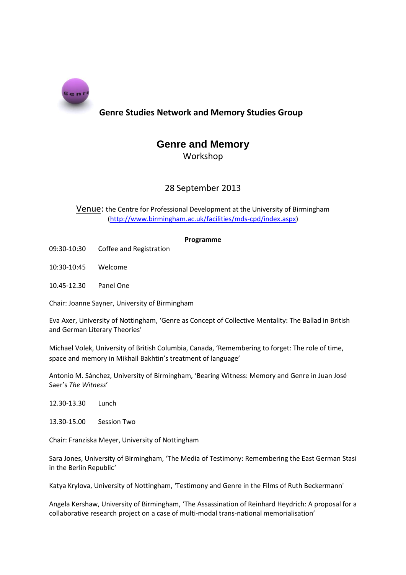

## **Genre Studies Network and Memory Studies Group**

# **Genre and Memory**

Workshop

## 28 September 2013

Venue: the Centre for Professional Development at the University of Birmingham [\(http://www.birmingham.ac.uk/facilities/mds-cpd/index.aspx\)](http://www.birmingham.ac.uk/facilities/mds-cpd/index.aspx)

### **Programme**

- 09:30-10:30 Coffee and Registration
- 10:30-10:45 Welcome
- 10.45-12.30 Panel One

Chair: Joanne Sayner, University of Birmingham

Eva Axer, University of Nottingham, 'Genre as Concept of Collective Mentality: The Ballad in British and German Literary Theories'

Michael Volek, University of British Columbia, Canada, 'Remembering to forget: The role of time, space and memory in Mikhail Bakhtin's treatment of language'

Antonio M. Sánchez, University of Birmingham, 'Bearing Witness: Memory and Genre in Juan José Saer's *The Witness*'

12.30-13.30 Lunch

13.30-15.00 Session Two

Chair: Franziska Meyer, University of Nottingham

Sara Jones, University of Birmingham, 'The Media of Testimony: Remembering the East German Stasi in the Berlin Republic*'*

Katya Krylova, University of Nottingham, 'Testimony and Genre in the Films of Ruth Beckermann'

Angela Kershaw, University of Birmingham, 'The Assassination of Reinhard Heydrich: A proposal for a collaborative research project on a case of multi-modal trans-national memorialisation'